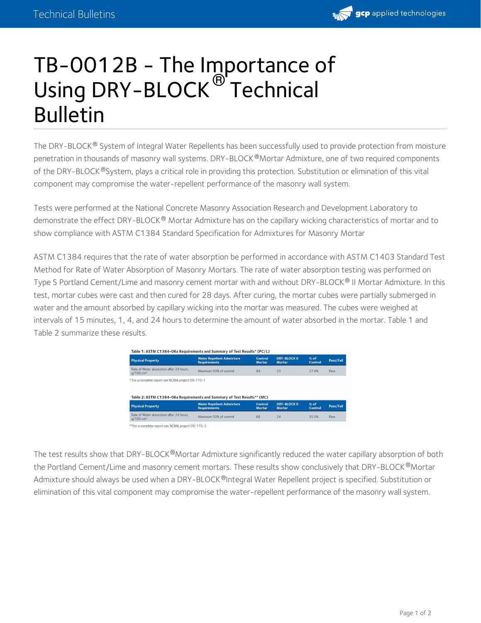

## TB-0012B - The Importance of Using DRY-BLOCK <sup>®'</sup> Technical Bulletin

The DRY-BLOCK ® System of Integral Water Repellents has been successfully used to provide protection from moisture penetration in thousands of masonry wall systems. DRY-BLOCK®Mortar Admixture, one of two required components of the DRY-BLOCK®System, plays a critical role in providing this protection. Substitution or elimination of this vital component may compromise the water-repellent performance of the masonry wall system.

Tests were performed at the National Concrete Masonry Association Research and Development Laboratory to demonstrate the effect DRY-BLOCK® Mortar Admixture has on the capillary wicking characteristics of mortar and to show compliance with ASTM C1384 Standard Specification for Admixtures for Masonry Mortar

ASTM C1384 requires that the rate of water absorption be performed in accordance with ASTM C1403 Standard Test Method for Rate of Water Absorption of Masonry Mortars. The rate of water absorption testing was performed on Type S Portland Cement/Lime and masonry cement mortar with and without DRY-BLOCK® II Mortar Admixture. In this test, mortar cubes were cast and then cured for 28 days. After curing, the mortar cubes were partially submerged in water and the amount absorbed by capillary wicking into the mortar was measured. The cubes were weighed at intervals of 15 minutes, 1, 4, and 24 hours to determine the amount of water absorbed in the mortar. Table 1 and Table 2 summarize these results.

| <b>Physical Property</b>                                                                                                     | <b>Water Repellent Admixture</b><br><b>Requirements</b> | Control<br><b>Mortar</b> | <b>DRY-BLOCK II</b><br><b>Mortar</b> | $%$ of<br>Control | Pass/Fail |
|------------------------------------------------------------------------------------------------------------------------------|---------------------------------------------------------|--------------------------|--------------------------------------|-------------------|-----------|
| Rate of Water absorption after 24 hours.<br>q/100 cm <sup>2</sup>                                                            | Maximum 50% of control                                  | 84                       | 23                                   | 27.4%             | Pass      |
|                                                                                                                              |                                                         |                          |                                      |                   |           |
|                                                                                                                              |                                                         |                          |                                      |                   |           |
| * For a complete report see NCMA project 09-110-1<br>Table 2: ASTM C1384-06a Requirements and Summary of Test Results** (MC) |                                                         |                          |                                      |                   |           |
| <b>Physical Property</b>                                                                                                     | <b>Water Repellent Admixture</b><br><b>Requirements</b> | Control<br><b>Mortar</b> | <b>DRY-BLOCK II</b><br><b>Mortar</b> | % of<br>Control   | Pass/Fail |

The test results show that DRY-BLOCK®Mortar Admixture significantly reduced the water capillary absorption of both the Portland Cement/Lime and masonry cement mortars. These results show conclusively that DRY-BLOCK ®Mortar Admixture should always be used when a DRY-BLOCK®Integral Water Repellent project is specified. Substitution or elimination of this vital component may compromise the water-repellent performance of the masonry wall system.